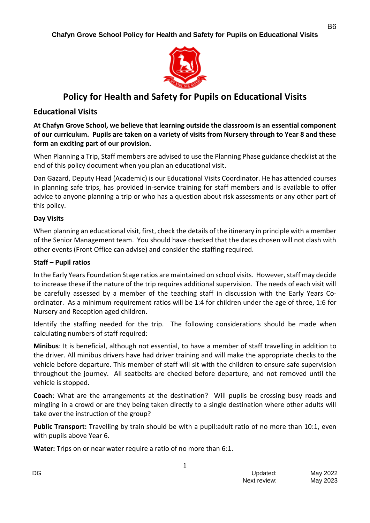

# **Policy for Health and Safety for Pupils on Educational Visits**

## **Educational Visits**

**At Chafyn Grove School, we believe that learning outside the classroom is an essential component of our curriculum. Pupils are taken on a variety of visits from Nursery through to Year 8 and these form an exciting part of our provision.**

When Planning a Trip, Staff members are advised to use the Planning Phase guidance checklist at the end of this policy document when you plan an educational visit.

Dan Gazard, Deputy Head (Academic) is our Educational Visits Coordinator. He has attended courses in planning safe trips, has provided in-service training for staff members and is available to offer advice to anyone planning a trip or who has a question about risk assessments or any other part of this policy.

### **Day Visits**

When planning an educational visit, first, check the details of the itinerary in principle with a member of the Senior Management team. You should have checked that the dates chosen will not clash with other events (Front Office can advise) and consider the staffing required.

#### **Staff – Pupil ratios**

In the Early Years Foundation Stage ratios are maintained on school visits. However, staff may decide to increase these if the nature of the trip requires additional supervision. The needs of each visit will be carefully assessed by a member of the teaching staff in discussion with the Early Years Coordinator. As a minimum requirement ratios will be 1:4 for children under the age of three, 1:6 for Nursery and Reception aged children.

Identify the staffing needed for the trip. The following considerations should be made when calculating numbers of staff required:

**Minibus**: It is beneficial, although not essential, to have a member of staff travelling in addition to the driver. All minibus drivers have had driver training and will make the appropriate checks to the vehicle before departure. This member of staff will sit with the children to ensure safe supervision throughout the journey. All seatbelts are checked before departure, and not removed until the vehicle is stopped.

**Coach**: What are the arrangements at the destination? Will pupils be crossing busy roads and mingling in a crowd or are they being taken directly to a single destination where other adults will take over the instruction of the group?

**Public Transport:** Travelling by train should be with a pupil:adult ratio of no more than 10:1, even with pupils above Year 6.

**Water:** Trips on or near water require a ratio of no more than 6:1.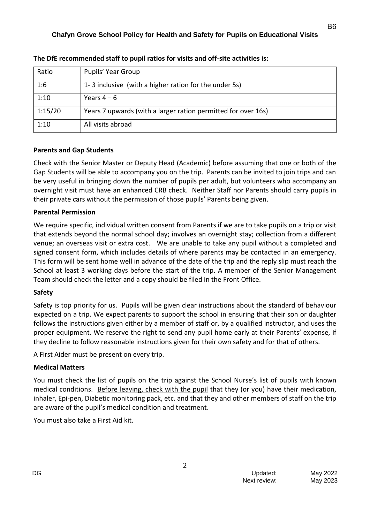| Ratio   | Pupils' Year Group                                            |
|---------|---------------------------------------------------------------|
| 1:6     | 1-3 inclusive (with a higher ration for the under 5s)         |
| 1:10    | Years $4-6$                                                   |
| 1:15/20 | Years 7 upwards (with a larger ration permitted for over 16s) |
| 1:10    | All visits abroad                                             |

**The DfE recommended staff to pupil ratios for visits and off-site activities is:**

### **Parents and Gap Students**

Check with the Senior Master or Deputy Head (Academic) before assuming that one or both of the Gap Students will be able to accompany you on the trip. Parents can be invited to join trips and can be very useful in bringing down the number of pupils per adult, but volunteers who accompany an overnight visit must have an enhanced CRB check. Neither Staff nor Parents should carry pupils in their private cars without the permission of those pupils' Parents being given.

### **Parental Permission**

We require specific, individual written consent from Parents if we are to take pupils on a trip or visit that extends beyond the normal school day; involves an overnight stay; collection from a different venue; an overseas visit or extra cost. We are unable to take any pupil without a completed and signed consent form, which includes details of where parents may be contacted in an emergency. This form will be sent home well in advance of the date of the trip and the reply slip must reach the School at least 3 working days before the start of the trip. A member of the Senior Management Team should check the letter and a copy should be filed in the Front Office.

### **Safety**

Safety is top priority for us. Pupils will be given clear instructions about the standard of behaviour expected on a trip. We expect parents to support the school in ensuring that their son or daughter follows the instructions given either by a member of staff or, by a qualified instructor, and uses the proper equipment. We reserve the right to send any pupil home early at their Parents' expense, if they decline to follow reasonable instructions given for their own safety and for that of others.

A First Aider must be present on every trip.

### **Medical Matters**

You must check the list of pupils on the trip against the School Nurse's list of pupils with known medical conditions. Before leaving, check with the pupil that they (or you) have their medication, inhaler, Epi-pen, Diabetic monitoring pack, etc. and that they and other members of staff on the trip are aware of the pupil's medical condition and treatment.

2

You must also take a First Aid kit.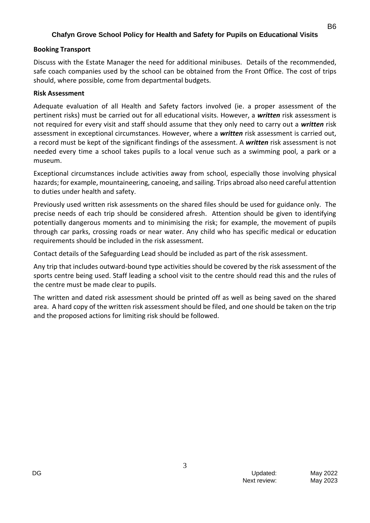#### **Booking Transport**

Discuss with the Estate Manager the need for additional minibuses. Details of the recommended, safe coach companies used by the school can be obtained from the Front Office. The cost of trips should, where possible, come from departmental budgets.

#### **Risk Assessment**

Adequate evaluation of all Health and Safety factors involved (ie. a proper assessment of the pertinent risks) must be carried out for all educational visits. However, a *written* risk assessment is not required for every visit and staff should assume that they only need to carry out a *written* risk assessment in exceptional circumstances. However, where a *written* risk assessment is carried out, a record must be kept of the significant findings of the assessment. A *written* risk assessment is not needed every time a school takes pupils to a local venue such as a swimming pool, a park or a museum.

Exceptional circumstances include activities away from school, especially those involving physical hazards; for example, mountaineering, canoeing, and sailing. Trips abroad also need careful attention to duties under health and safety.

Previously used written risk assessments on the shared files should be used for guidance only. The precise needs of each trip should be considered afresh. Attention should be given to identifying potentially dangerous moments and to minimising the risk; for example, the movement of pupils through car parks, crossing roads or near water. Any child who has specific medical or education requirements should be included in the risk assessment.

Contact details of the Safeguarding Lead should be included as part of the risk assessment.

Any trip that includes outward-bound type activities should be covered by the risk assessment of the sports centre being used. Staff leading a school visit to the centre should read this and the rules of the centre must be made clear to pupils.

The written and dated risk assessment should be printed off as well as being saved on the shared area. A hard copy of the written risk assessment should be filed, and one should be taken on the trip and the proposed actions for limiting risk should be followed.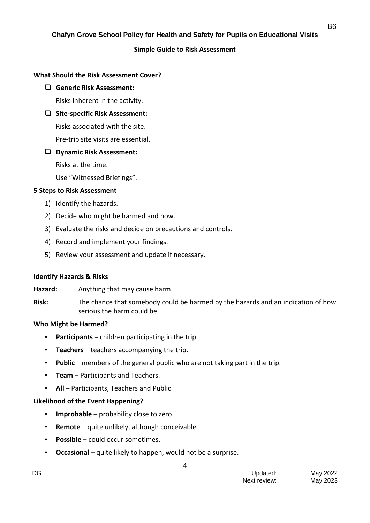#### **Simple Guide to Risk Assessment**

#### **What Should the Risk Assessment Cover?**

❑ **Generic Risk Assessment:**

Risks inherent in the activity.

❑ **Site-specific Risk Assessment:**

Risks associated with the site.

Pre-trip site visits are essential.

❑ **Dynamic Risk Assessment:**

Risks at the time.

Use "Witnessed Briefings".

#### **5 Steps to Risk Assessment**

- 1) Identify the hazards.
- 2) Decide who might be harmed and how.
- 3) Evaluate the risks and decide on precautions and controls.
- 4) Record and implement your findings.
- 5) Review your assessment and update if necessary.

#### **Identify Hazards & Risks**

Hazard: Anything that may cause harm.

**Risk:** The chance that somebody could be harmed by the hazards and an indication of how serious the harm could be.

#### **Who Might be Harmed?**

- **Participants** children participating in the trip.
- **Teachers** teachers accompanying the trip.
- **Public** members of the general public who are not taking part in the trip.
- **Team** Participants and Teachers.
- **All** Participants, Teachers and Public

#### **Likelihood of the Event Happening?**

- **Improbable** probability close to zero.
- **Remote** quite unlikely, although conceivable.
- **Possible** could occur sometimes.
- **Occasional** quite likely to happen, would not be a surprise.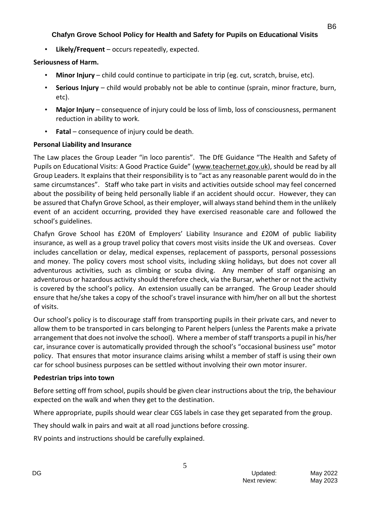• **Likely/Frequent** – occurs repeatedly, expected.

## **Seriousness of Harm.**

- **Minor Injury** child could continue to participate in trip (eg. cut, scratch, bruise, etc).
- **Serious Injury** child would probably not be able to continue (sprain, minor fracture, burn, etc).
- **Major Injury** consequence of injury could be loss of limb, loss of consciousness, permanent reduction in ability to work.
- Fatal consequence of injury could be death.

## **Personal Liability and Insurance**

The Law places the Group Leader "in loco parentis". The DfE Guidance "The Health and Safety of Pupils on Educational Visits: A Good Practice Guide" ([www.teachernet.gov.uk\)](http://www.teachernet.gov.uk/), should be read by all Group Leaders. It explains that their responsibility is to "act as any reasonable parent would do in the same circumstances". Staff who take part in visits and activities outside school may feel concerned about the possibility of being held personally liable if an accident should occur. However, they can be assured that Chafyn Grove School, as their employer, will always stand behind them in the unlikely event of an accident occurring, provided they have exercised reasonable care and followed the school's guidelines.

Chafyn Grove School has £20M of Employers' Liability Insurance and £20M of public liability insurance, as well as a group travel policy that covers most visits inside the UK and overseas. Cover includes cancellation or delay, medical expenses, replacement of passports, personal possessions and money. The policy covers most school visits, including skiing holidays, but does not cover all adventurous activities, such as climbing or scuba diving. Any member of staff organising an adventurous or hazardous activity should therefore check, via the Bursar, whether or not the activity is covered by the school's policy. An extension usually can be arranged. The Group Leader should ensure that he/she takes a copy of the school's travel insurance with him/her on all but the shortest of visits.

Our school's policy is to discourage staff from transporting pupils in their private cars, and never to allow them to be transported in cars belonging to Parent helpers (unless the Parents make a private arrangement that does not involve the school). Where a member of staff transports a pupil in his/her car, insurance cover is automatically provided through the school's "occasional business use" motor policy. That ensures that motor insurance claims arising whilst a member of staff is using their own car for school business purposes can be settled without involving their own motor insurer.

## **Pedestrian trips into town**

Before setting off from school, pupils should be given clear instructions about the trip, the behaviour expected on the walk and when they get to the destination.

Where appropriate, pupils should wear clear CGS labels in case they get separated from the group.

5

They should walk in pairs and wait at all road junctions before crossing.

RV points and instructions should be carefully explained.

B6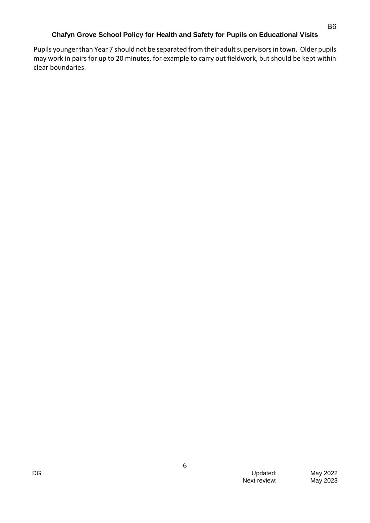Pupils younger than Year 7 should not be separated from their adult supervisors in town. Older pupils may work in pairs for up to 20 minutes, for example to carry out fieldwork, but should be kept within clear boundaries.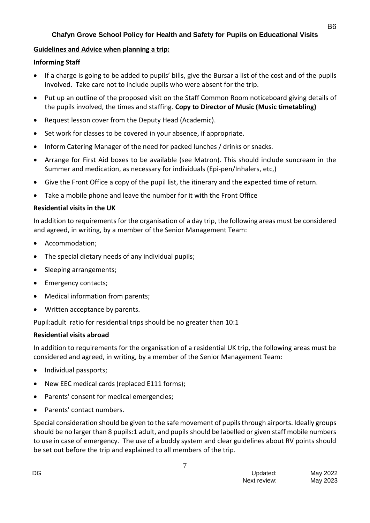### **Guidelines and Advice when planning a trip:**

### **Informing Staff**

- If a charge is going to be added to pupils' bills, give the Bursar a list of the cost and of the pupils involved. Take care not to include pupils who were absent for the trip.
- Put up an outline of the proposed visit on the Staff Common Room noticeboard giving details of the pupils involved, the times and staffing. **Copy to Director of Music (Music timetabling)**
- Request lesson cover from the Deputy Head (Academic).
- Set work for classes to be covered in your absence, if appropriate.
- Inform Catering Manager of the need for packed lunches / drinks or snacks.
- Arrange for First Aid boxes to be available (see Matron). This should include suncream in the Summer and medication, as necessary for individuals (Epi-pen/Inhalers, etc,)
- Give the Front Office a copy of the pupil list, the itinerary and the expected time of return.
- Take a mobile phone and leave the number for it with the Front Office

### **Residential visits in the UK**

In addition to requirements for the organisation of a day trip, the following areas must be considered and agreed, in writing, by a member of the Senior Management Team:

- Accommodation;
- The special dietary needs of any individual pupils;
- Sleeping arrangements:
- Emergency contacts;
- Medical information from parents;
- Written acceptance by parents.

Pupil:adult ratio for residential trips should be no greater than 10:1

### **Residential visits abroad**

In addition to requirements for the organisation of a residential UK trip, the following areas must be considered and agreed, in writing, by a member of the Senior Management Team:

- Individual passports;
- New EEC medical cards (replaced E111 forms);
- Parents' consent for medical emergencies;
- Parents' contact numbers.

Special consideration should be given to the safe movement of pupils through airports. Ideally groups should be no larger than 8 pupils:1 adult, and pupils should be labelled or given staff mobile numbers to use in case of emergency. The use of a buddy system and clear guidelines about RV points should be set out before the trip and explained to all members of the trip.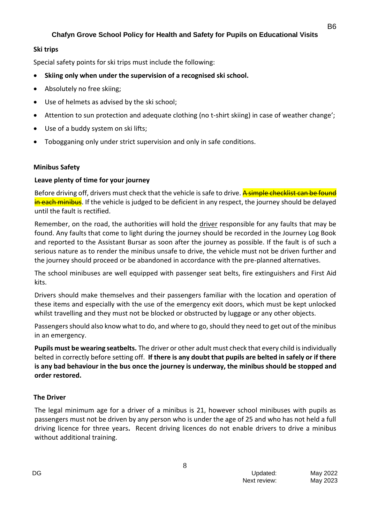### **Ski trips**

Special safety points for ski trips must include the following:

- **Skiing only when under the supervision of a recognised ski school.**
- Absolutely no free skiing;
- Use of helmets as advised by the ski school;
- Attention to sun protection and adequate clothing (no t-shirt skiing) in case of weather change';
- Use of a buddy system on ski lifts;
- Tobogganing only under strict supervision and only in safe conditions.

### **Minibus Safety**

### **Leave plenty of time for your journey**

Before driving off, drivers must check that the vehicle is safe to drive. A simple checklist can be found in each minibus. If the vehicle is judged to be deficient in any respect, the journey should be delayed until the fault is rectified.

Remember, on the road, the authorities will hold the driver responsible for any faults that may be found. Any faults that come to light during the journey should be recorded in the Journey Log Book and reported to the Assistant Bursar as soon after the journey as possible. If the fault is of such a serious nature as to render the minibus unsafe to drive, the vehicle must not be driven further and the journey should proceed or be abandoned in accordance with the pre-planned alternatives.

The school minibuses are well equipped with passenger seat belts, fire extinguishers and First Aid kits.

Drivers should make themselves and their passengers familiar with the location and operation of these items and especially with the use of the emergency exit doors, which must be kept unlocked whilst travelling and they must not be blocked or obstructed by luggage or any other objects.

Passengers should also know what to do, and where to go, should they need to get out of the minibus in an emergency.

**Pupils must be wearing seatbelts.** The driver or other adult must check that every child is individually belted in correctly before setting off. **If there is any doubt that pupils are belted in safely or if there is any bad behaviour in the bus once the journey is underway, the minibus should be stopped and order restored.**

### **The Driver**

The legal minimum age for a driver of a minibus is 21, however school minibuses with pupils as passengers must not be driven by any person who is under the age of 25 and who has not held a full driving licence for three years**.** Recent driving licences do not enable drivers to drive a minibus without additional training.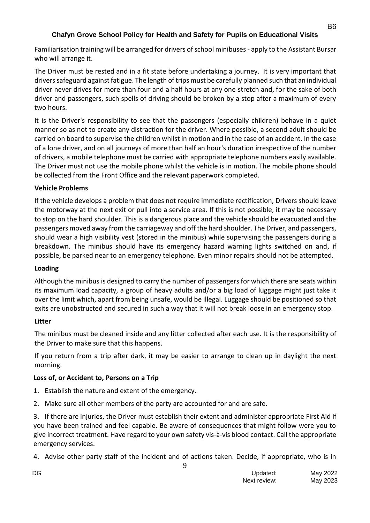Familiarisation training will be arranged for drivers of school minibuses - apply to the Assistant Bursar who will arrange it.

The Driver must be rested and in a fit state before undertaking a journey. It is very important that drivers safeguard against fatigue. The length of trips must be carefully planned such that an individual driver never drives for more than four and a half hours at any one stretch and, for the sake of both driver and passengers, such spells of driving should be broken by a stop after a maximum of every two hours.

It is the Driver's responsibility to see that the passengers (especially children) behave in a quiet manner so as not to create any distraction for the driver. Where possible, a second adult should be carried on board to supervise the children whilst in motion and in the case of an accident. In the case of a lone driver, and on all journeys of more than half an hour's duration irrespective of the number of drivers, a mobile telephone must be carried with appropriate telephone numbers easily available. The Driver must not use the mobile phone whilst the vehicle is in motion. The mobile phone should be collected from the Front Office and the relevant paperwork completed.

### **Vehicle Problems**

If the vehicle develops a problem that does not require immediate rectification, Drivers should leave the motorway at the next exit or pull into a service area. If this is not possible, it may be necessary to stop on the hard shoulder. This is a dangerous place and the vehicle should be evacuated and the passengers moved away from the carriageway and off the hard shoulder. The Driver, and passengers, should wear a high visibility vest (stored in the minibus) while supervising the passengers during a breakdown. The minibus should have its emergency hazard warning lights switched on and, if possible, be parked near to an emergency telephone. Even minor repairs should not be attempted.

### **Loading**

Although the minibus is designed to carry the number of passengers for which there are seats within its maximum load capacity, a group of heavy adults and/or a big load of luggage might just take it over the limit which, apart from being unsafe, would be illegal. Luggage should be positioned so that exits are unobstructed and secured in such a way that it will not break loose in an emergency stop.

## **Litter**

The minibus must be cleaned inside and any litter collected after each use. It is the responsibility of the Driver to make sure that this happens.

If you return from a trip after dark, it may be easier to arrange to clean up in daylight the next morning.

## **Loss of, or Accident to, Persons on a Trip**

- 1. Establish the nature and extent of the emergency.
- 2. Make sure all other members of the party are accounted for and are safe.

3. If there are injuries, the Driver must establish their extent and administer appropriate First Aid if you have been trained and feel capable. Be aware of consequences that might follow were you to give incorrect treatment. Have regard to your own safety vis-à-vis blood contact. Call the appropriate emergency services.

9 4. Advise other party staff of the incident and of actions taken. Decide, if appropriate, who is in

| DG | Updated:     | May 2022 |
|----|--------------|----------|
|    | Next review: | May 2023 |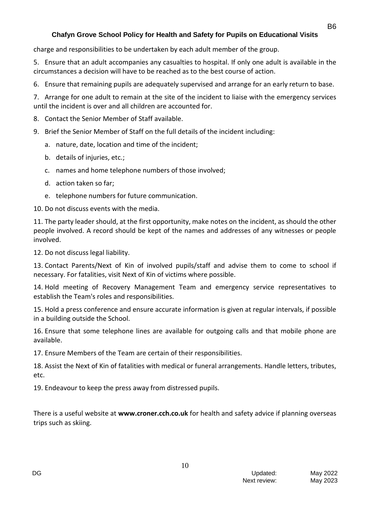charge and responsibilities to be undertaken by each adult member of the group.

5. Ensure that an adult accompanies any casualties to hospital. If only one adult is available in the circumstances a decision will have to be reached as to the best course of action.

6. Ensure that remaining pupils are adequately supervised and arrange for an early return to base.

7. Arrange for one adult to remain at the site of the incident to liaise with the emergency services until the incident is over and all children are accounted for.

- 8. Contact the Senior Member of Staff available.
- 9. Brief the Senior Member of Staff on the full details of the incident including:
	- a. nature, date, location and time of the incident;
	- b. details of injuries, etc.;
	- c. names and home telephone numbers of those involved;
	- d. action taken so far;
	- e. telephone numbers for future communication.

10. Do not discuss events with the media.

11. The party leader should, at the first opportunity, make notes on the incident, as should the other people involved. A record should be kept of the names and addresses of any witnesses or people involved.

12. Do not discuss legal liability.

13. Contact Parents/Next of Kin of involved pupils/staff and advise them to come to school if necessary. For fatalities, visit Next of Kin of victims where possible.

14. Hold meeting of Recovery Management Team and emergency service representatives to establish the Team's roles and responsibilities.

15. Hold a press conference and ensure accurate information is given at regular intervals, if possible in a building outside the School.

16. Ensure that some telephone lines are available for outgoing calls and that mobile phone are available.

17. Ensure Members of the Team are certain of their responsibilities.

18. Assist the Next of Kin of fatalities with medical or funeral arrangements. Handle letters, tributes, etc.

19. Endeavour to keep the press away from distressed pupils.

There is a useful website at **www.croner.cch.co.uk** for health and safety advice if planning overseas trips such as skiing.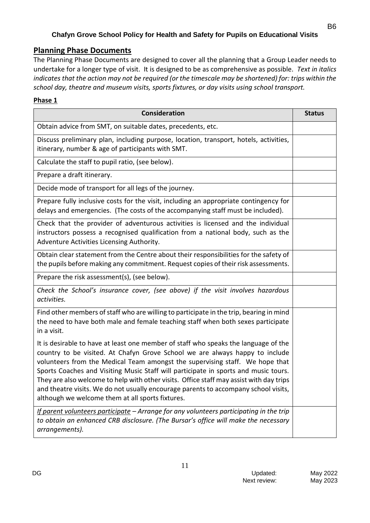## **Planning Phase Documents**

The Planning Phase Documents are designed to cover all the planning that a Group Leader needs to undertake for a longer type of visit. It is designed to be as comprehensive as possible. *Text in italics indicates that the action may not be required (or the timescale may be shortened) for: trips within the school day, theatre and museum visits, sports fixtures, or day visits using school transport.* 

### **Phase 1**

| <b>Consideration</b>                                                                                                                                                                                                                                                                                                                                                                                                                                                                                                                                                             | <b>Status</b> |
|----------------------------------------------------------------------------------------------------------------------------------------------------------------------------------------------------------------------------------------------------------------------------------------------------------------------------------------------------------------------------------------------------------------------------------------------------------------------------------------------------------------------------------------------------------------------------------|---------------|
| Obtain advice from SMT, on suitable dates, precedents, etc.                                                                                                                                                                                                                                                                                                                                                                                                                                                                                                                      |               |
| Discuss preliminary plan, including purpose, location, transport, hotels, activities,<br>itinerary, number & age of participants with SMT.                                                                                                                                                                                                                                                                                                                                                                                                                                       |               |
| Calculate the staff to pupil ratio, (see below).                                                                                                                                                                                                                                                                                                                                                                                                                                                                                                                                 |               |
| Prepare a draft itinerary.                                                                                                                                                                                                                                                                                                                                                                                                                                                                                                                                                       |               |
| Decide mode of transport for all legs of the journey.                                                                                                                                                                                                                                                                                                                                                                                                                                                                                                                            |               |
| Prepare fully inclusive costs for the visit, including an appropriate contingency for<br>delays and emergencies. (The costs of the accompanying staff must be included).                                                                                                                                                                                                                                                                                                                                                                                                         |               |
| Check that the provider of adventurous activities is licensed and the individual<br>instructors possess a recognised qualification from a national body, such as the<br>Adventure Activities Licensing Authority.                                                                                                                                                                                                                                                                                                                                                                |               |
| Obtain clear statement from the Centre about their responsibilities for the safety of<br>the pupils before making any commitment. Request copies of their risk assessments.                                                                                                                                                                                                                                                                                                                                                                                                      |               |
| Prepare the risk assessment(s), (see below).                                                                                                                                                                                                                                                                                                                                                                                                                                                                                                                                     |               |
| Check the School's insurance cover, (see above) if the visit involves hazardous<br>activities.                                                                                                                                                                                                                                                                                                                                                                                                                                                                                   |               |
| Find other members of staff who are willing to participate in the trip, bearing in mind<br>the need to have both male and female teaching staff when both sexes participate<br>in a visit.                                                                                                                                                                                                                                                                                                                                                                                       |               |
| It is desirable to have at least one member of staff who speaks the language of the<br>country to be visited. At Chafyn Grove School we are always happy to include<br>volunteers from the Medical Team amongst the supervising staff. We hope that<br>Sports Coaches and Visiting Music Staff will participate in sports and music tours.<br>They are also welcome to help with other visits. Office staff may assist with day trips<br>and theatre visits. We do not usually encourage parents to accompany school visits,<br>although we welcome them at all sports fixtures. |               |
| If parent volunteers participate - Arrange for any volunteers participating in the trip<br>to obtain an enhanced CRB disclosure. (The Bursar's office will make the necessary<br>arrangements).                                                                                                                                                                                                                                                                                                                                                                                  |               |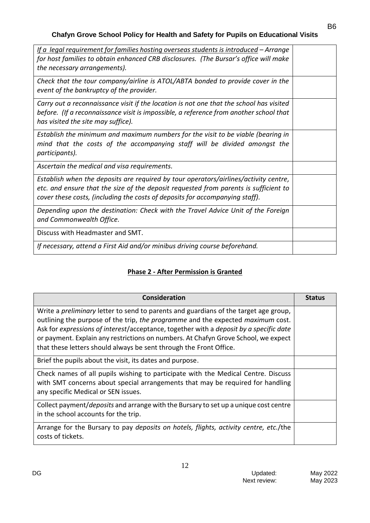| If a legal requirement for families hosting overseas students is introduced – Arrange<br>for host families to obtain enhanced CRB disclosures. (The Bursar's office will make<br>the necessary arrangements).                                                |  |
|--------------------------------------------------------------------------------------------------------------------------------------------------------------------------------------------------------------------------------------------------------------|--|
| Check that the tour company/airline is ATOL/ABTA bonded to provide cover in the<br>event of the bankruptcy of the provider.                                                                                                                                  |  |
| Carry out a reconnaissance visit if the location is not one that the school has visited<br>before. (If a reconnaissance visit is impossible, a reference from another school that<br>has visited the site may suffice).                                      |  |
| Establish the minimum and maximum numbers for the visit to be viable (bearing in<br>mind that the costs of the accompanying staff will be divided amongst the<br>participants).                                                                              |  |
| Ascertain the medical and visa requirements.                                                                                                                                                                                                                 |  |
| Establish when the deposits are required by tour operators/airlines/activity centre,<br>etc. and ensure that the size of the deposit requested from parents is sufficient to<br>cover these costs, (including the costs of deposits for accompanying staff). |  |
| Depending upon the destination: Check with the Travel Advice Unit of the Foreign<br>and Commonwealth Office.                                                                                                                                                 |  |
| Discuss with Headmaster and SMT.                                                                                                                                                                                                                             |  |
| If necessary, attend a First Aid and/or minibus driving course beforehand.                                                                                                                                                                                   |  |

# **Phase 2 - After Permission is Granted**

| Consideration                                                                                                                                                                                                                                                                                                                                                                                                                        | <b>Status</b> |
|--------------------------------------------------------------------------------------------------------------------------------------------------------------------------------------------------------------------------------------------------------------------------------------------------------------------------------------------------------------------------------------------------------------------------------------|---------------|
| Write a <i>preliminary</i> letter to send to parents and guardians of the target age group,<br>outlining the purpose of the trip, the programme and the expected maximum cost.<br>Ask for expressions of interest/acceptance, together with a deposit by a specific date<br>or payment. Explain any restrictions on numbers. At Chafyn Grove School, we expect<br>that these letters should always be sent through the Front Office. |               |
| Brief the pupils about the visit, its dates and purpose.                                                                                                                                                                                                                                                                                                                                                                             |               |
| Check names of all pupils wishing to participate with the Medical Centre. Discuss<br>with SMT concerns about special arrangements that may be required for handling<br>any specific Medical or SEN issues.                                                                                                                                                                                                                           |               |
| Collect payment/deposits and arrange with the Bursary to set up a unique cost centre<br>in the school accounts for the trip.                                                                                                                                                                                                                                                                                                         |               |
| Arrange for the Bursary to pay deposits on hotels, flights, activity centre, etc./the<br>costs of tickets.                                                                                                                                                                                                                                                                                                                           |               |

B6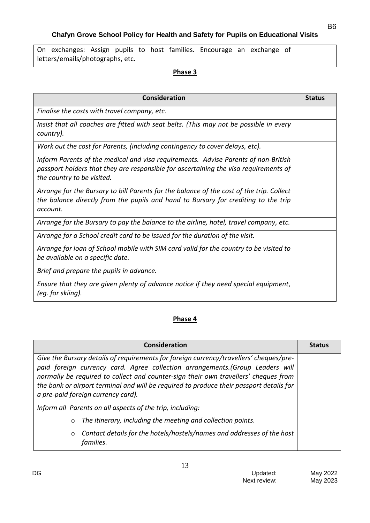| On exchanges: Assign pupils to host families. Encourage an exchange of |  |  |  |  |  |
|------------------------------------------------------------------------|--|--|--|--|--|
| letters/emails/photographs, etc.                                       |  |  |  |  |  |

#### **Phase 3**

| Consideration                                                                                                                                                                                            | <b>Status</b> |
|----------------------------------------------------------------------------------------------------------------------------------------------------------------------------------------------------------|---------------|
| Finalise the costs with travel company, etc.                                                                                                                                                             |               |
| Insist that all coaches are fitted with seat belts. (This may not be possible in every<br>country).                                                                                                      |               |
| Work out the cost for Parents, (including contingency to cover delays, etc).                                                                                                                             |               |
| Inform Parents of the medical and visa requirements. Advise Parents of non-British<br>passport holders that they are responsible for ascertaining the visa requirements of<br>the country to be visited. |               |
| Arrange for the Bursary to bill Parents for the balance of the cost of the trip. Collect<br>the balance directly from the pupils and hand to Bursary for crediting to the trip<br>account.               |               |
| Arrange for the Bursary to pay the balance to the airline, hotel, travel company, etc.                                                                                                                   |               |
| Arrange for a School credit card to be issued for the duration of the visit.                                                                                                                             |               |
| Arrange for loan of School mobile with SIM card valid for the country to be visited to<br>be available on a specific date.                                                                               |               |
| Brief and prepare the pupils in advance.                                                                                                                                                                 |               |
| Ensure that they are given plenty of advance notice if they need special equipment,<br>(eg. for skiing).                                                                                                 |               |

## **Phase 4**

| <b>Consideration</b>                                                                                                                                                                                                                                                                                                                                                                             |  |  |  |  |
|--------------------------------------------------------------------------------------------------------------------------------------------------------------------------------------------------------------------------------------------------------------------------------------------------------------------------------------------------------------------------------------------------|--|--|--|--|
| Give the Bursary details of requirements for foreign currency/travellers' cheques/pre-<br>paid foreign currency card. Agree collection arrangements. (Group Leaders will<br>normally be required to collect and counter-sign their own travellers' cheques from<br>the bank or airport terminal and will be required to produce their passport details for<br>a pre-paid foreign currency card). |  |  |  |  |
| Inform all Parents on all aspects of the trip, including:                                                                                                                                                                                                                                                                                                                                        |  |  |  |  |
| The itinerary, including the meeting and collection points.<br>$\circ$                                                                                                                                                                                                                                                                                                                           |  |  |  |  |
| Contact details for the hotels/hostels/names and addresses of the host<br>$\circ$<br>families.                                                                                                                                                                                                                                                                                                   |  |  |  |  |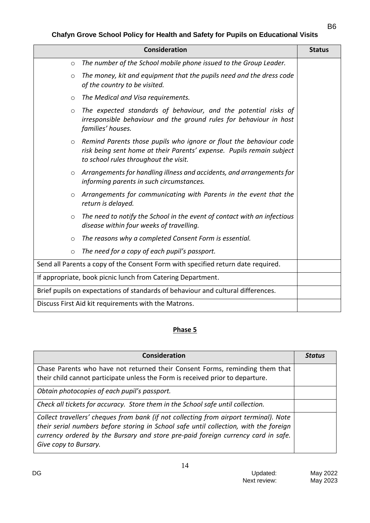| <b>Consideration</b> |                                                                                                                                                                                      |  |  |  |
|----------------------|--------------------------------------------------------------------------------------------------------------------------------------------------------------------------------------|--|--|--|
| $\circ$              | The number of the School mobile phone issued to the Group Leader.                                                                                                                    |  |  |  |
| $\circ$              | The money, kit and equipment that the pupils need and the dress code<br>of the country to be visited.                                                                                |  |  |  |
| $\circ$              | The Medical and Visa requirements.                                                                                                                                                   |  |  |  |
| $\circ$              | The expected standards of behaviour, and the potential risks of<br>irresponsible behaviour and the ground rules for behaviour in host<br>families' houses.                           |  |  |  |
| $\circ$              | Remind Parents those pupils who ignore or flout the behaviour code<br>risk being sent home at their Parents' expense. Pupils remain subject<br>to school rules throughout the visit. |  |  |  |
|                      | $\circ$ Arrangements for handling illness and accidents, and arrangements for<br>informing parents in such circumstances.                                                            |  |  |  |
|                      | $\circ$ Arrangements for communicating with Parents in the event that the<br>return is delayed.                                                                                      |  |  |  |
| $\circ$              | The need to notify the School in the event of contact with an infectious<br>disease within four weeks of travelling.                                                                 |  |  |  |
| $\circ$              | The reasons why a completed Consent Form is essential.                                                                                                                               |  |  |  |
| $\circ$              | The need for a copy of each pupil's passport.                                                                                                                                        |  |  |  |
|                      | Send all Parents a copy of the Consent Form with specified return date required.                                                                                                     |  |  |  |
|                      | If appropriate, book picnic lunch from Catering Department.                                                                                                                          |  |  |  |
|                      | Brief pupils on expectations of standards of behaviour and cultural differences.                                                                                                     |  |  |  |
|                      | Discuss First Aid kit requirements with the Matrons.                                                                                                                                 |  |  |  |

### **Phase 5**

| <b>Consideration</b>                                                                                                                                                                                                                                                                         | <b>Status</b> |
|----------------------------------------------------------------------------------------------------------------------------------------------------------------------------------------------------------------------------------------------------------------------------------------------|---------------|
| Chase Parents who have not returned their Consent Forms, reminding them that<br>their child cannot participate unless the Form is received prior to departure.                                                                                                                               |               |
| Obtain photocopies of each pupil's passport.                                                                                                                                                                                                                                                 |               |
| Check all tickets for accuracy. Store them in the School safe until collection.                                                                                                                                                                                                              |               |
| Collect travellers' cheques from bank (if not collecting from airport terminal). Note<br>their serial numbers before storing in School safe until collection, with the foreign<br>currency ordered by the Bursary and store pre-paid foreign currency card in safe.<br>Give copy to Bursary. |               |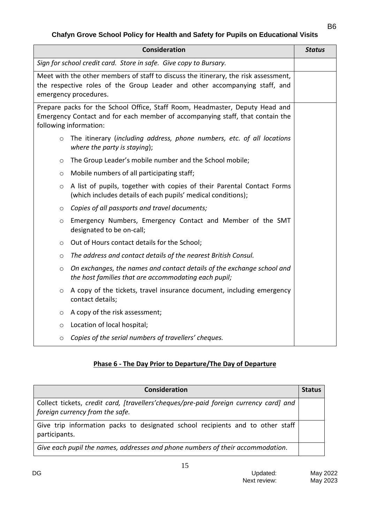### B6

## **Chafyn Grove School Policy for Health and Safety for Pupils on Educational Visits**

|                                                                                                                                                                                            | <b>Consideration</b>                                                                                                                                                                    | <b>Status</b> |  |
|--------------------------------------------------------------------------------------------------------------------------------------------------------------------------------------------|-----------------------------------------------------------------------------------------------------------------------------------------------------------------------------------------|---------------|--|
|                                                                                                                                                                                            | Sign for school credit card. Store in safe. Give copy to Bursary.                                                                                                                       |               |  |
| Meet with the other members of staff to discuss the itinerary, the risk assessment,<br>the respective roles of the Group Leader and other accompanying staff, and<br>emergency procedures. |                                                                                                                                                                                         |               |  |
|                                                                                                                                                                                            | Prepare packs for the School Office, Staff Room, Headmaster, Deputy Head and<br>Emergency Contact and for each member of accompanying staff, that contain the<br>following information: |               |  |
| $\circ$                                                                                                                                                                                    | The itinerary (including address, phone numbers, etc. of all locations<br>where the party is staying);                                                                                  |               |  |
| $\circ$                                                                                                                                                                                    | The Group Leader's mobile number and the School mobile;                                                                                                                                 |               |  |
| $\circ$                                                                                                                                                                                    | Mobile numbers of all participating staff;                                                                                                                                              |               |  |
| $\circ$                                                                                                                                                                                    | A list of pupils, together with copies of their Parental Contact Forms<br>(which includes details of each pupils' medical conditions);                                                  |               |  |
| $\circ$                                                                                                                                                                                    | Copies of all passports and travel documents;                                                                                                                                           |               |  |
| $\circ$                                                                                                                                                                                    | Emergency Numbers, Emergency Contact and Member of the SMT<br>designated to be on-call;                                                                                                 |               |  |
| $\circ$                                                                                                                                                                                    | Out of Hours contact details for the School;                                                                                                                                            |               |  |
| O                                                                                                                                                                                          | The address and contact details of the nearest British Consul.                                                                                                                          |               |  |
| O                                                                                                                                                                                          | On exchanges, the names and contact details of the exchange school and<br>the host families that are accommodating each pupil;                                                          |               |  |
| $\circ$                                                                                                                                                                                    | A copy of the tickets, travel insurance document, including emergency<br>contact details;                                                                                               |               |  |
| $\circ$                                                                                                                                                                                    | A copy of the risk assessment;                                                                                                                                                          |               |  |
| $\circ$                                                                                                                                                                                    | Location of local hospital;                                                                                                                                                             |               |  |
| $\circ$                                                                                                                                                                                    | Copies of the serial numbers of travellers' cheques.                                                                                                                                    |               |  |

## **Phase 6 - The Day Prior to Departure/The Day of Departure**

| Consideration                                                                                                            | <b>Status</b> |
|--------------------------------------------------------------------------------------------------------------------------|---------------|
| Collect tickets, credit card, [travellers'cheques/pre-paid foreign currency card] and<br>foreign currency from the safe. |               |
| Give trip information packs to designated school recipients and to other staff<br>participants.                          |               |
| Give each pupil the names, addresses and phone numbers of their accommodation.                                           |               |